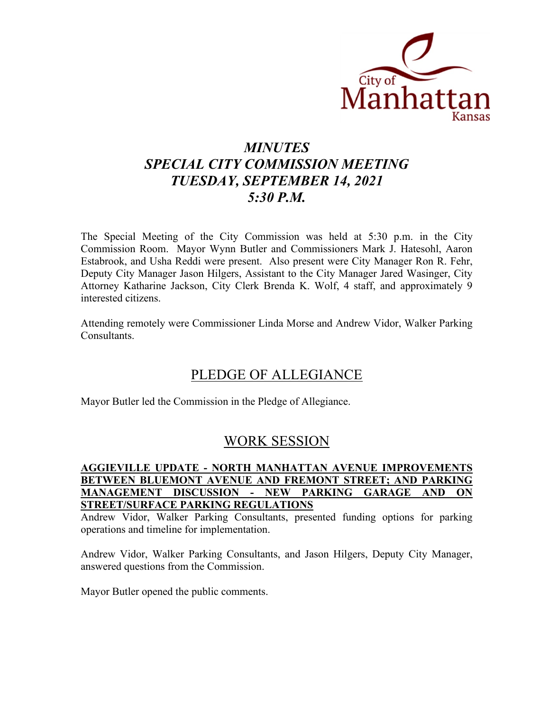

# *MINUTES SPECIAL CITY COMMISSION MEETING TUESDAY, SEPTEMBER 14, 2021 5:30 P.M.*

The Special Meeting of the City Commission was held at 5:30 p.m. in the City Commission Room. Mayor Wynn Butler and Commissioners Mark J. Hatesohl, Aaron Estabrook, and Usha Reddi were present. Also present were City Manager Ron R. Fehr, Deputy City Manager Jason Hilgers, Assistant to the City Manager Jared Wasinger, City Attorney Katharine Jackson, City Clerk Brenda K. Wolf, 4 staff, and approximately 9 interested citizens.

Attending remotely were Commissioner Linda Morse and Andrew Vidor, Walker Parking Consultants.

### PLEDGE OF ALLEGIANCE

Mayor Butler led the Commission in the Pledge of Allegiance.

### WORK SESSION

### **AGGIEVILLE UPDATE - NORTH MANHATTAN AVENUE IMPROVEMENTS BETWEEN BLUEMONT AVENUE AND FREMONT STREET; AND PARKING MANAGEMENT DISCUSSION - NEW PARKING GARAGE AND ON STREET/SURFACE PARKING REGULATIONS**

Andrew Vidor, Walker Parking Consultants, presented funding options for parking operations and timeline for implementation.

Andrew Vidor, Walker Parking Consultants, and Jason Hilgers, Deputy City Manager, answered questions from the Commission.

Mayor Butler opened the public comments.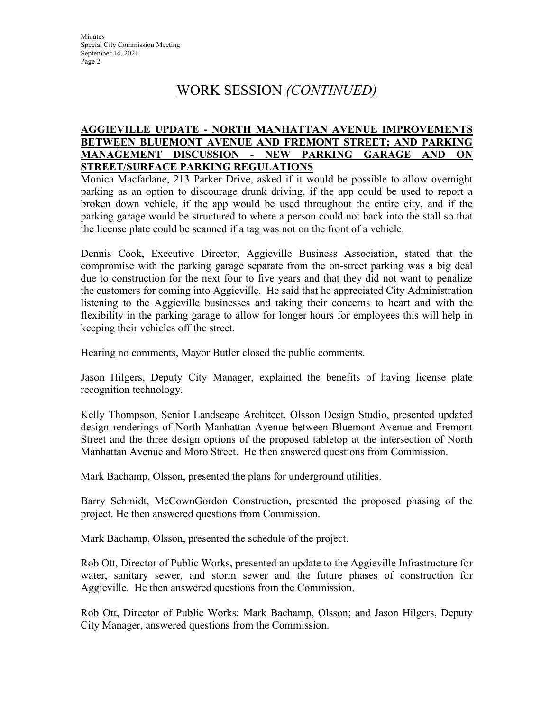**Minutes** Special City Commission Meeting September 14, 2021 Page 2

### WORK SESSION *(CONTINUED)*

#### **AGGIEVILLE UPDATE - NORTH MANHATTAN AVENUE IMPROVEMENTS BETWEEN BLUEMONT AVENUE AND FREMONT STREET; AND PARKING MANAGEMENT DISCUSSION - NEW PARKING GARAGE AND ON STREET/SURFACE PARKING REGULATIONS**

Monica Macfarlane, 213 Parker Drive, asked if it would be possible to allow overnight parking as an option to discourage drunk driving, if the app could be used to report a broken down vehicle, if the app would be used throughout the entire city, and if the parking garage would be structured to where a person could not back into the stall so that the license plate could be scanned if a tag was not on the front of a vehicle.

Dennis Cook, Executive Director, Aggieville Business Association, stated that the compromise with the parking garage separate from the on-street parking was a big deal due to construction for the next four to five years and that they did not want to penalize the customers for coming into Aggieville. He said that he appreciated City Administration listening to the Aggieville businesses and taking their concerns to heart and with the flexibility in the parking garage to allow for longer hours for employees this will help in keeping their vehicles off the street.

Hearing no comments, Mayor Butler closed the public comments.

Jason Hilgers, Deputy City Manager, explained the benefits of having license plate recognition technology.

Kelly Thompson, Senior Landscape Architect, Olsson Design Studio, presented updated design renderings of North Manhattan Avenue between Bluemont Avenue and Fremont Street and the three design options of the proposed tabletop at the intersection of North Manhattan Avenue and Moro Street. He then answered questions from Commission.

Mark Bachamp, Olsson, presented the plans for underground utilities.

Barry Schmidt, McCownGordon Construction, presented the proposed phasing of the project. He then answered questions from Commission.

Mark Bachamp, Olsson, presented the schedule of the project.

Rob Ott, Director of Public Works, presented an update to the Aggieville Infrastructure for water, sanitary sewer, and storm sewer and the future phases of construction for Aggieville. He then answered questions from the Commission.

Rob Ott, Director of Public Works; Mark Bachamp, Olsson; and Jason Hilgers, Deputy City Manager, answered questions from the Commission.